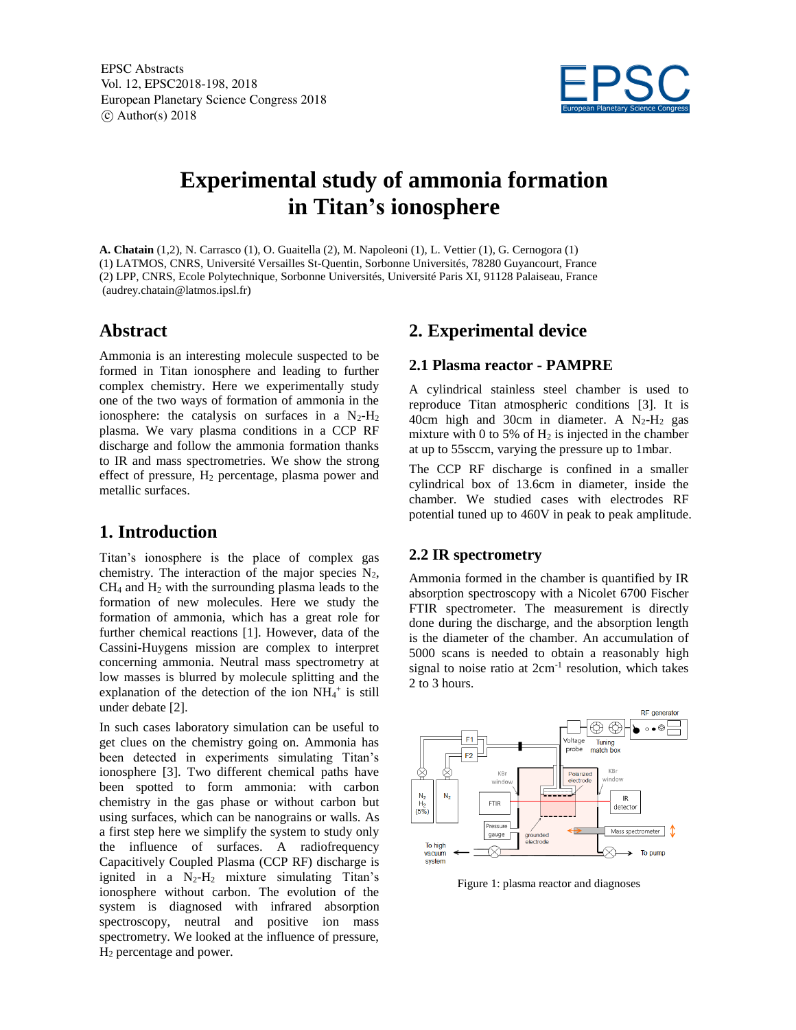EPSC Abstracts Vol. 12, EPSC2018-198, 2018 European Planetary Science Congress 2018  $\circ$  Author(s) 2018



# **Experimental study of ammonia formation in Titan's ionosphere**

**A. Chatain** (1,2), N. Carrasco (1), O. Guaitella (2), M. Napoleoni (1), L. Vettier (1), G. Cernogora (1) (1) LATMOS, CNRS, Université Versailles St-Quentin, Sorbonne Universités, 78280 Guyancourt, France (2) LPP, CNRS, Ecole Polytechnique, Sorbonne Universités, Université Paris XI, 91128 Palaiseau, France (audrey.chatain@latmos.ipsl.fr)

# **Abstract**

Ammonia is an interesting molecule suspected to be formed in Titan ionosphere and leading to further complex chemistry. Here we experimentally study one of the two ways of formation of ammonia in the ionosphere: the catalysis on surfaces in a  $N_2-H_2$ plasma. We vary plasma conditions in a CCP RF discharge and follow the ammonia formation thanks to IR and mass spectrometries. We show the strong effect of pressure,  $H_2$  percentage, plasma power and metallic surfaces.

# **1. Introduction**

Titan's ionosphere is the place of complex gas chemistry. The interaction of the major species  $N_2$ ,  $CH<sub>4</sub>$  and  $H<sub>2</sub>$  with the surrounding plasma leads to the formation of new molecules. Here we study the formation of ammonia, which has a great role for further chemical reactions [1]. However, data of the Cassini-Huygens mission are complex to interpret concerning ammonia. Neutral mass spectrometry at low masses is blurred by molecule splitting and the explanation of the detection of the ion  $NH_4^+$  is still under debate [2].

In such cases laboratory simulation can be useful to get clues on the chemistry going on. Ammonia has been detected in experiments simulating Titan's ionosphere [3]. Two different chemical paths have been spotted to form ammonia: with carbon chemistry in the gas phase or without carbon but using surfaces, which can be nanograins or walls. As a first step here we simplify the system to study only the influence of surfaces. A radiofrequency Capacitively Coupled Plasma (CCP RF) discharge is ignited in a  $N_2-H_2$  mixture simulating Titan's ionosphere without carbon. The evolution of the system is diagnosed with infrared absorption spectroscopy, neutral and positive ion mass spectrometry. We looked at the influence of pressure, H<sup>2</sup> percentage and power.

# **2. Experimental device**

#### **2.1 Plasma reactor - PAMPRE**

A cylindrical stainless steel chamber is used to reproduce Titan atmospheric conditions [3]. It is 40cm high and 30cm in diameter. A  $N_2-H_2$  gas mixture with 0 to 5% of  $H_2$  is injected in the chamber at up to 55sccm, varying the pressure up to 1mbar.

The CCP RF discharge is confined in a smaller cylindrical box of 13.6cm in diameter, inside the chamber. We studied cases with electrodes RF potential tuned up to 460V in peak to peak amplitude.

#### **2.2 IR spectrometry**

Ammonia formed in the chamber is quantified by IR absorption spectroscopy with a Nicolet 6700 Fischer FTIR spectrometer. The measurement is directly done during the discharge, and the absorption length is the diameter of the chamber. An accumulation of 5000 scans is needed to obtain a reasonably high signal to noise ratio at  $2cm^{-1}$  resolution, which takes 2 to 3 hours.



Figure 1: plasma reactor and diagnoses